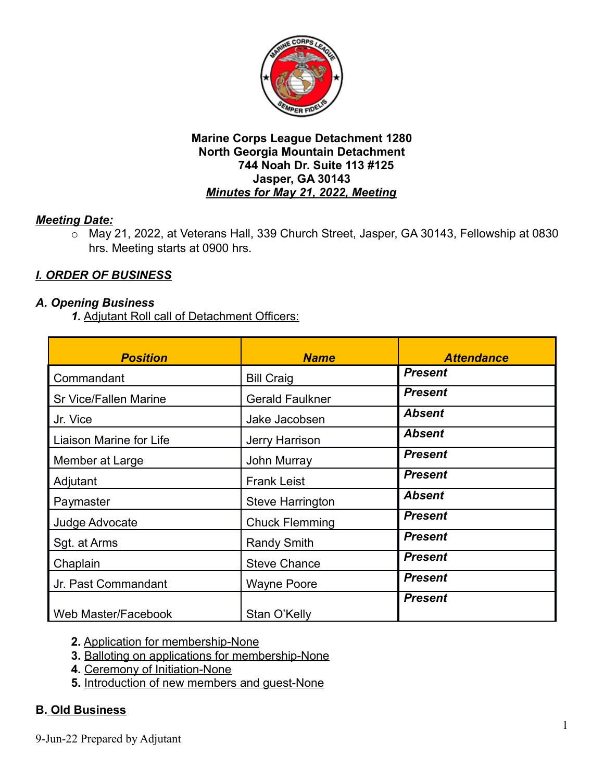

## *Meeting Date:*

o May 21, 2022, at Veterans Hall, 339 Church Street, Jasper, GA 30143, Fellowship at 0830 hrs. Meeting starts at 0900 hrs.

# *I. ORDER OF BUSINESS*

### *A. Opening Business*

*1.* Adjutant Roll call of Detachment Officers:

| <b>Position</b>              | <b>Name</b>             | <b>Attendance</b> |
|------------------------------|-------------------------|-------------------|
| Commandant                   | <b>Bill Craig</b>       | <b>Present</b>    |
| <b>Sr Vice/Fallen Marine</b> | <b>Gerald Faulkner</b>  | <b>Present</b>    |
| Jr. Vice                     | Jake Jacobsen           | <b>Absent</b>     |
| Liaison Marine for Life      | Jerry Harrison          | <b>Absent</b>     |
| Member at Large              | <b>John Murray</b>      | <b>Present</b>    |
| Adjutant                     | <b>Frank Leist</b>      | <b>Present</b>    |
| Paymaster                    | <b>Steve Harrington</b> | <b>Absent</b>     |
| Judge Advocate               | <b>Chuck Flemming</b>   | <b>Present</b>    |
| Sgt. at Arms                 | <b>Randy Smith</b>      | <b>Present</b>    |
| Chaplain                     | <b>Steve Chance</b>     | <b>Present</b>    |
| Jr. Past Commandant          | <b>Wayne Poore</b>      | <b>Present</b>    |
| Web Master/Facebook          | Stan O'Kelly            | <b>Present</b>    |

**2.** Application for membership-None

- **3.** Balloting on applications for membership-None
- **4.** Ceremony of Initiation-None
- **5.** Introduction of new members and guest-None

## **B. Old Business**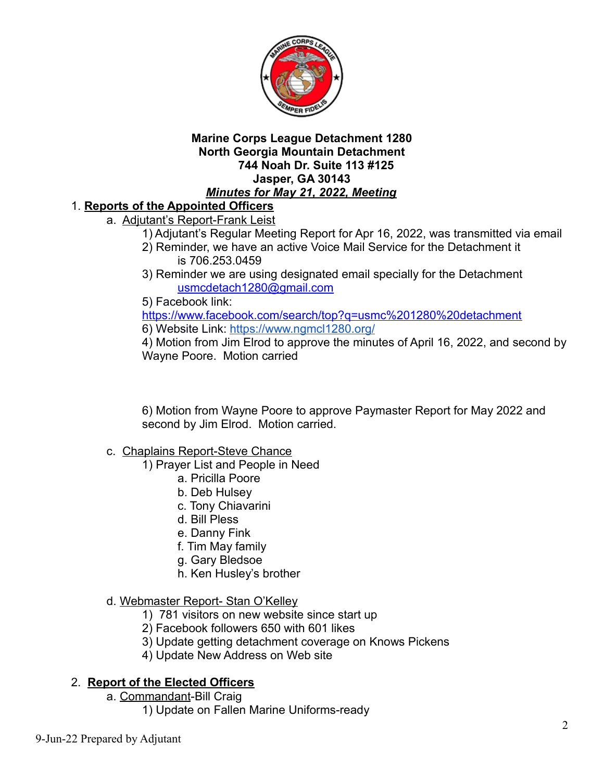

# 1. **Reports of the Appointed Officers**

- a. Adjutant's Report-Frank Leist
	- 1) Adjutant's Regular Meeting Report for Apr 16, 2022, was transmitted via email
	- 2) Reminder, we have an active Voice Mail Service for the Detachment it is 706.253.0459
	- 3) Reminder we are using designated email specially for the Detachment [usmcdetach1280@gmail.com](mailto:usmcdetach1280@gmail.com)
	- 5) Facebook link:

<https://www.facebook.com/search/top?q=usmc%201280%20detachment> 6) Website Link: <https://www.ngmcl1280.org/>

4) Motion from Jim Elrod to approve the minutes of April 16, 2022, and second by Wayne Poore. Motion carried

6) Motion from Wayne Poore to approve Paymaster Report for May 2022 and second by Jim Elrod. Motion carried.

- c.Chaplains Report-Steve Chance
	- 1) Prayer List and People in Need
		- a. Pricilla Poore
		- b. Deb Hulsey
		- c. Tony Chiavarini
		- d. Bill Pless
		- e. Danny Fink
		- f. Tim May family
		- g. Gary Bledsoe
		- h. Ken Husley's brother
- d. Webmaster Report- Stan O'Kelley
	- 1) 781 visitors on new website since start up
	- 2) Facebook followers 650 with 601 likes
	- 3) Update getting detachment coverage on Knows Pickens
	- 4) Update New Address on Web site

## 2. **Report of the Elected Officers**

- a. Commandant-Bill Craig
	- 1) Update on Fallen Marine Uniforms-ready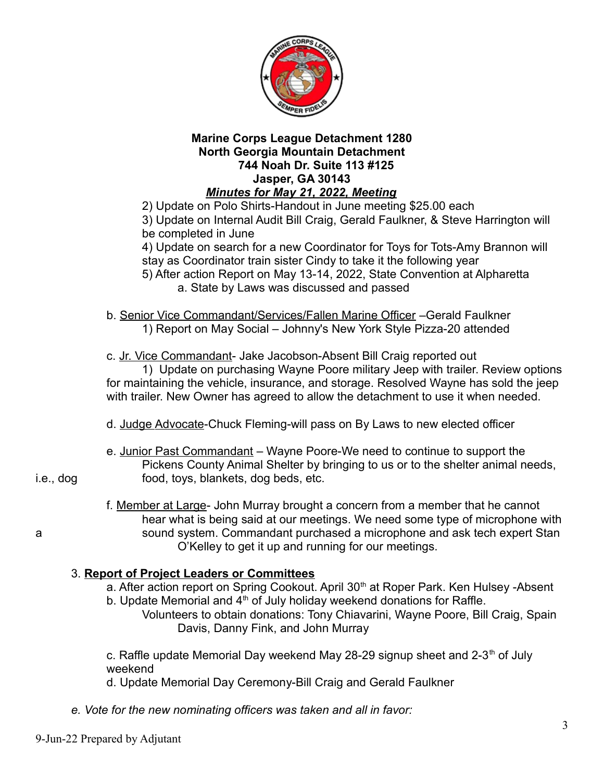

2) Update on Polo Shirts-Handout in June meeting \$25.00 each 3) Update on Internal Audit Bill Craig, Gerald Faulkner, & Steve Harrington will be completed in June

4) Update on search for a new Coordinator for Toys for Tots-Amy Brannon will stay as Coordinator train sister Cindy to take it the following year 5) After action Report on May 13-14, 2022, State Convention at Alpharetta a. State by Laws was discussed and passed

b. Senior Vice Commandant/Services/Fallen Marine Officer - Gerald Faulkner 1) Report on May Social – Johnny's New York Style Pizza-20 attended

c. Jr. Vice Commandant- Jake Jacobson-Absent Bill Craig reported out

1) Update on purchasing Wayne Poore military Jeep with trailer. Review options for maintaining the vehicle, insurance, and storage. Resolved Wayne has sold the jeep with trailer. New Owner has agreed to allow the detachment to use it when needed.

- d. JudgeAdvocate-Chuck Fleming-will pass on By Laws to new elected officer
- e. Junior Past Commandant Wayne Poore-We need to continue to support the Pickens County Animal Shelter by bringing to us or to the shelter animal needs, i.e., dog food, toys, blankets, dog beds, etc.

f. Member at Large- John Murray brought a concern from a member that he cannot hear what is being said at our meetings. We need some type of microphone with a sound system. Commandant purchased a microphone and ask tech expert Stan O'Kelley to get it up and running for our meetings.

## 3. **Report of Project Leaders or Committees**

- a. After action report on Spring Cookout. April 30<sup>th</sup> at Roper Park. Ken Hulsey -Absent b. Update Memorial and  $4<sup>th</sup>$  of July holiday weekend donations for Raffle.
	- Volunteers to obtain donations: Tony Chiavarini, Wayne Poore, Bill Craig, Spain Davis, Danny Fink, and John Murray

c. Raffle update Memorial Day weekend May 28-29 signup sheet and 2-3<sup>th</sup> of July weekend

d. Update Memorial Day Ceremony-Bill Craig and Gerald Faulkner

*e. Vote for the new nominating officers was taken and all in favor:*